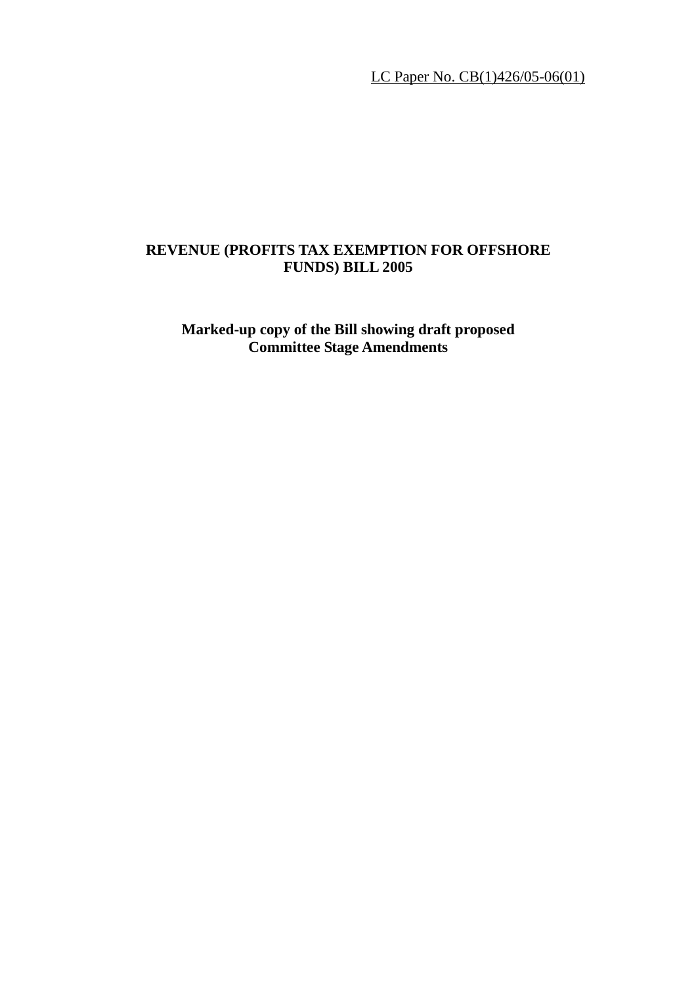LC Paper No. CB(1)426/05-06(01)

# **REVENUE (PROFITS TAX EXEMPTION FOR OFFSHORE FUNDS) BILL 2005**

**Marked-up copy of the Bill showing draft proposed Committee Stage Amendments**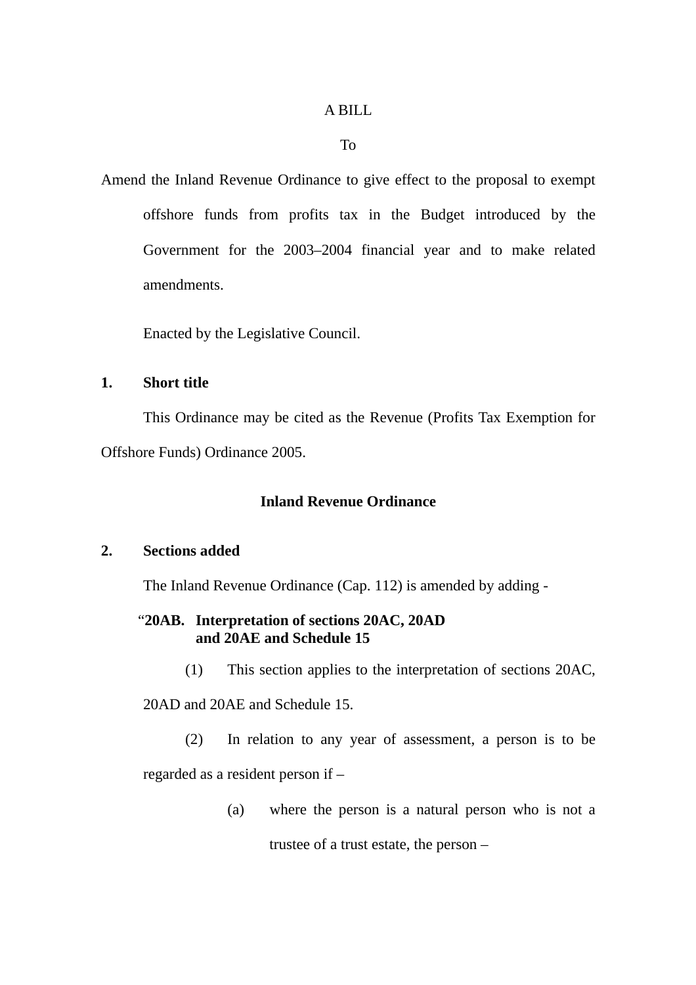#### A BILL

#### To

Amend the Inland Revenue Ordinance to give effect to the proposal to exempt offshore funds from profits tax in the Budget introduced by the Government for the 2003–2004 financial year and to make related amendments.

Enacted by the Legislative Council.

#### **1. Short title**

 This Ordinance may be cited as the Revenue (Profits Tax Exemption for Offshore Funds) Ordinance 2005.

## **Inland Revenue Ordinance**

## **2. Sections added**

The Inland Revenue Ordinance (Cap. 112) is amended by adding -

# "**20AB. Interpretation of sections 20AC, 20AD and 20AE and Schedule 15**

(1) This section applies to the interpretation of sections 20AC,

20AD and 20AE and Schedule 15.

(2) In relation to any year of assessment, a person is to be regarded as a resident person if –

(a) where the person is a natural person who is not a

trustee of a trust estate, the person –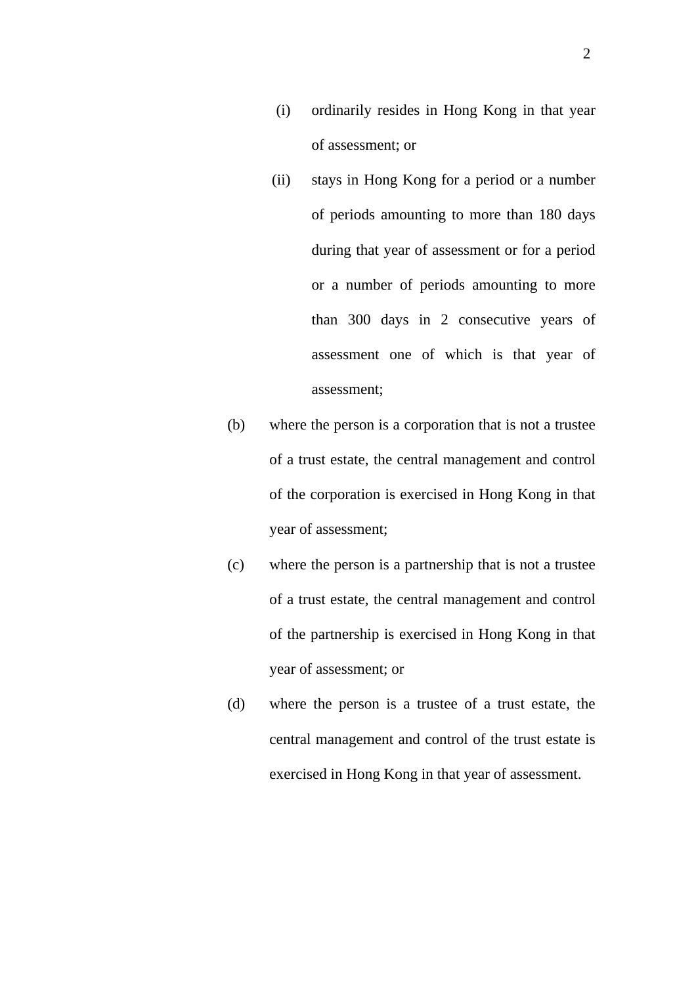- (i) ordinarily resides in Hong Kong in that year of assessment; or
- (ii) stays in Hong Kong for a period or a number of periods amounting to more than 180 days during that year of assessment or for a period or a number of periods amounting to more than 300 days in 2 consecutive years of assessment one of which is that year of assessment;
- (b) where the person is a corporation that is not a trustee of a trust estate, the central management and control of the corporation is exercised in Hong Kong in that year of assessment;
- (c) where the person is a partnership that is not a trustee of a trust estate, the central management and control of the partnership is exercised in Hong Kong in that year of assessment; or
- (d) where the person is a trustee of a trust estate, the central management and control of the trust estate is exercised in Hong Kong in that year of assessment.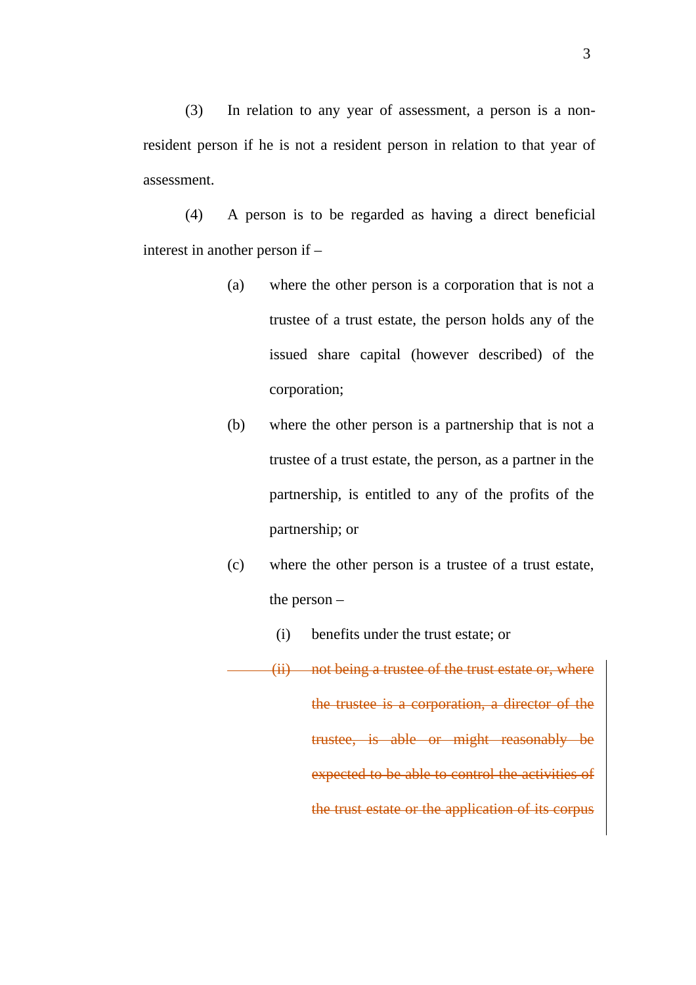(3) In relation to any year of assessment, a person is a nonresident person if he is not a resident person in relation to that year of assessment.

(4) A person is to be regarded as having a direct beneficial interest in another person if –

- (a) where the other person is a corporation that is not a trustee of a trust estate, the person holds any of the issued share capital (however described) of the corporation;
- (b) where the other person is a partnership that is not a trustee of a trust estate, the person, as a partner in the partnership, is entitled to any of the profits of the partnership; or
- (c) where the other person is a trustee of a trust estate, the person –
	- (i) benefits under the trust estate; or
- (ii) not being a trustee of the trust estate or, where the trustee is a corporation, a director of the trustee, is able or might reasonably be expected to be able to control the activities of the trust estate or the application of its corpus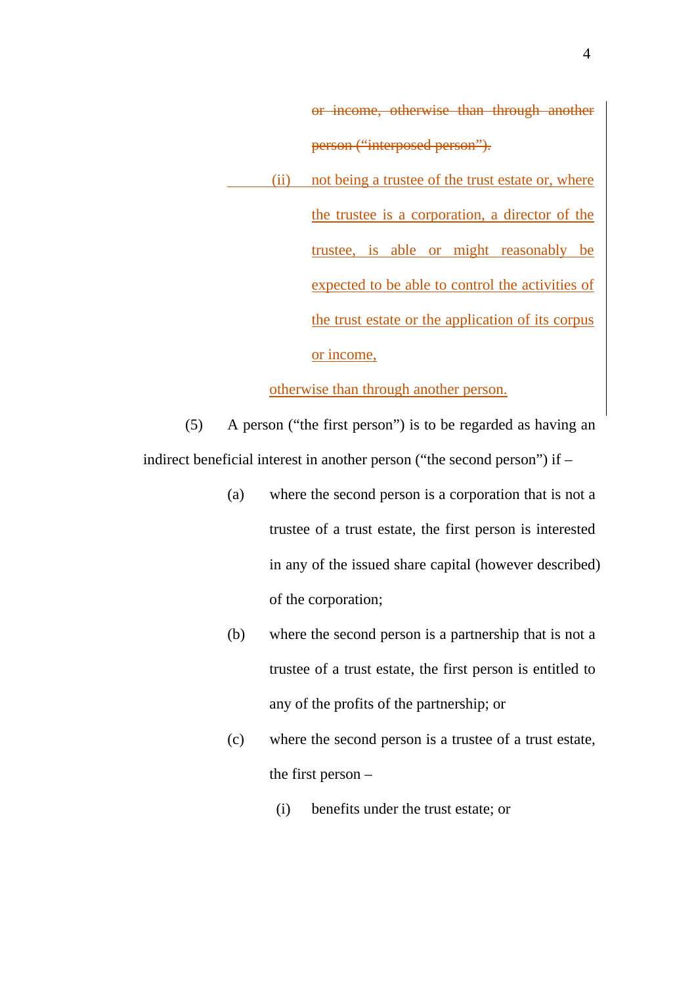or income, otherwise than through another person ("interposed person").

 (ii) not being a trustee of the trust estate or, where the trustee is a corporation, a director of the trustee, is able or might reasonably be expected to be able to control the activities of the trust estate or the application of its corpus or income,

otherwise than through another person.

(5) A person ("the first person") is to be regarded as having an indirect beneficial interest in another person ("the second person") if –

- (a) where the second person is a corporation that is not a trustee of a trust estate, the first person is interested in any of the issued share capital (however described) of the corporation;
- (b) where the second person is a partnership that is not a trustee of a trust estate, the first person is entitled to any of the profits of the partnership; or
- (c) where the second person is a trustee of a trust estate, the first person –
	- (i) benefits under the trust estate; or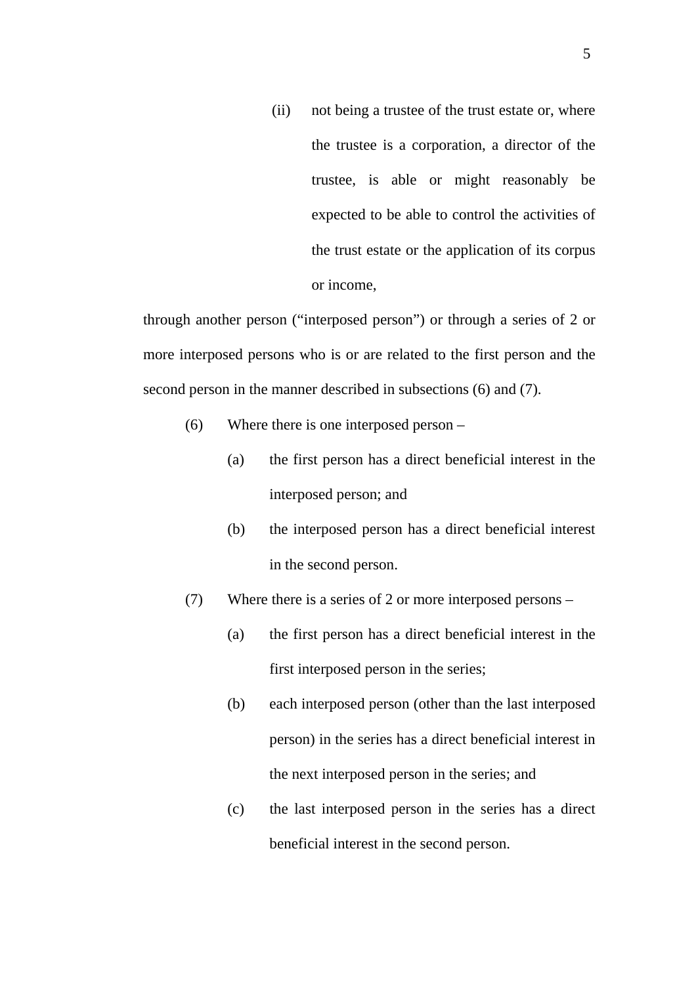(ii) not being a trustee of the trust estate or, where the trustee is a corporation, a director of the trustee, is able or might reasonably be expected to be able to control the activities of the trust estate or the application of its corpus or income,

through another person ("interposed person") or through a series of 2 or more interposed persons who is or are related to the first person and the second person in the manner described in subsections (6) and (7).

- (6) Where there is one interposed person
	- (a) the first person has a direct beneficial interest in the interposed person; and
	- (b) the interposed person has a direct beneficial interest in the second person.
- (7) Where there is a series of 2 or more interposed persons
	- (a) the first person has a direct beneficial interest in the first interposed person in the series;
	- (b) each interposed person (other than the last interposed person) in the series has a direct beneficial interest in the next interposed person in the series; and
	- (c) the last interposed person in the series has a direct beneficial interest in the second person.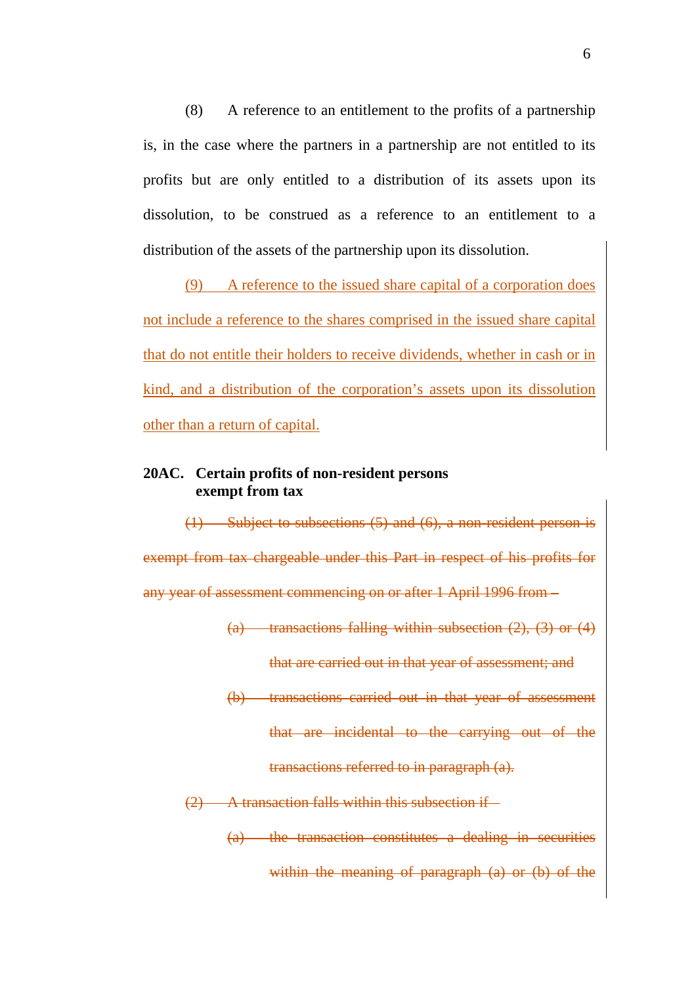(8) A reference to an entitlement to the profits of a partnership is, in the case where the partners in a partnership are not entitled to its profits but are only entitled to a distribution of its assets upon its dissolution, to be construed as a reference to an entitlement to a distribution of the assets of the partnership upon its dissolution.

(9) A reference to the issued share capital of a corporation does not include a reference to the shares comprised in the issued share capital that do not entitle their holders to receive dividends, whether in cash or in kind, and a distribution of the corporation's assets upon its dissolution other than a return of capital.

## **20AC. Certain profits of non-resident persons exempt from tax**

(1) Subject to subsections (5) and (6), a non-resident person is exempt from tax chargeable under this Part in respect of his profits for any year of assessment commencing on or after 1 April 1996 from –

> (a) transactions falling within subsection  $(2)$ ,  $(3)$  or  $(4)$ that are carried out in that year of assessment; and

> (b) transactions carried out in that year of assessment that are incidental to the carrying out of the

> > transactions referred to in paragraph (a).

(2) A transaction falls within this subsection if –

(a) the transaction constitutes a dealing in securities within the meaning of paragraph (a) or (b) of the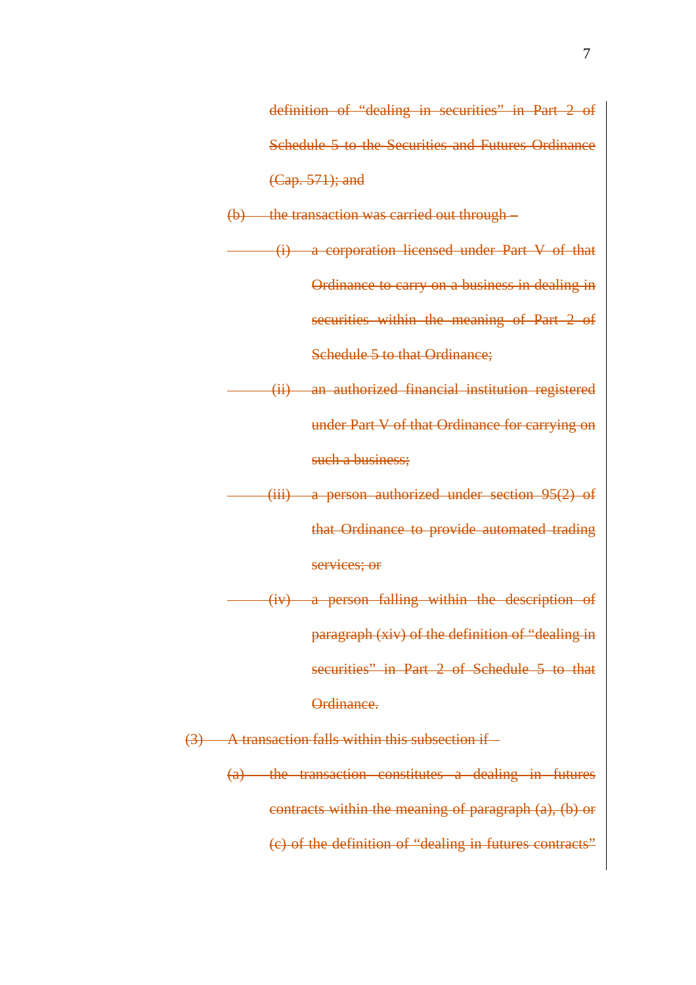definition of "dealing in securities" in Part 2 of Schedule 5 to the Securities and Futures Ordinance (Cap. 571); and

(b) the transaction was carried out through –

(i) a corporation licensed under Part V of that Ordinance to carry on a business in dealing in securities within the meaning of Part 2 of Schedule 5 to that Ordinance;

(ii) an authorized financial institution registered under Part V of that Ordinance for carrying on such a business;

(iii) a person authorized under section 95(2) of that Ordinance to provide automated trading

services; or

(iv) a person falling within the description of paragraph (xiv) of the definition of "dealing in securities" in Part 2 of Schedule 5 to that Ordinance.

(3) A transaction falls within this subsection if –

(a) the transaction constitutes a dealing in futures contracts within the meaning of paragraph (a), (b) or (c) of the definition of "dealing in futures contracts"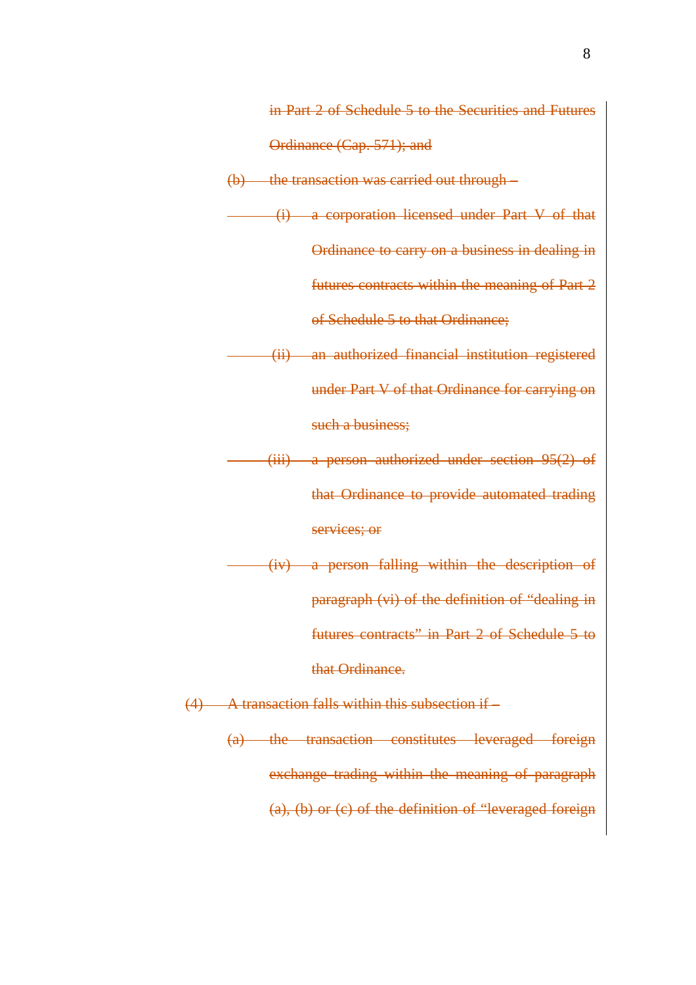in Part 2 of Schedule 5 to the Securities and Futures Ordinance (Cap. 571); and

(b) the transaction was carried out through – (i) a corporation licensed under Part V of that Ordinance to carry on a business in dealing in futures contracts within the meaning of Part 2 of Schedule 5 to that Ordinance; (ii) an authorized financial institution registered

under Part V of that Ordinance for carrying on such a business;

(iii) a person authorized under section 95(2) of that Ordinance to provide automated trading services; or

(iv) a person falling within the description of paragraph (vi) of the definition of "dealing in futures contracts" in Part 2 of Schedule 5 to that Ordinance.

(4) A transaction falls within this subsection if –

(a) the transaction constitutes leveraged foreign exchange trading within the meaning of paragraph (a), (b) or (c) of the definition of "leveraged foreign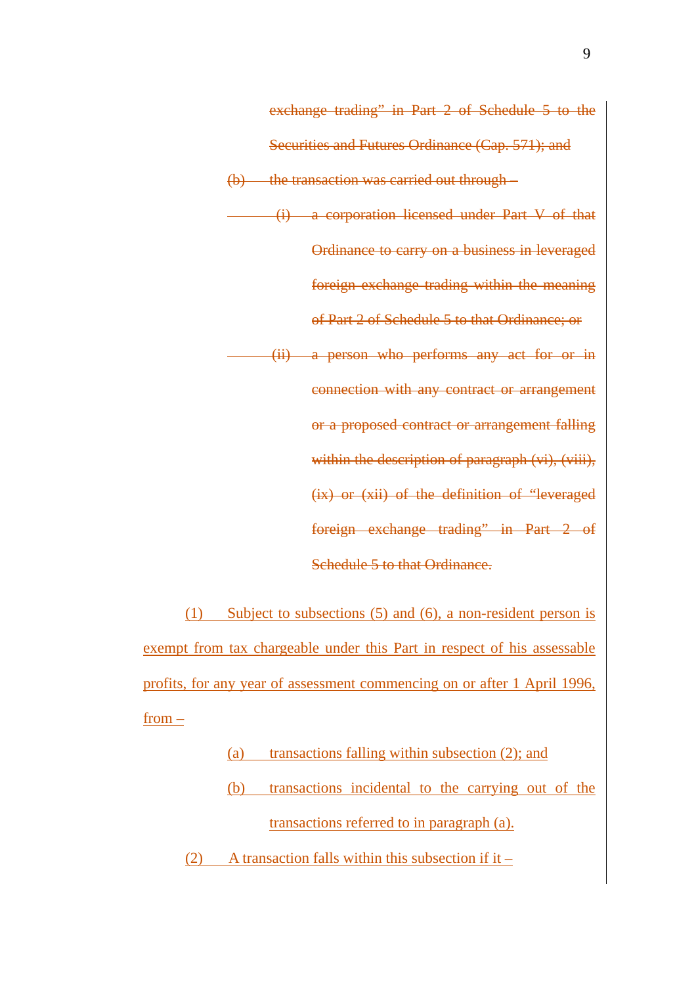Securities and Futures Ordinance (Cap. 571); and (b) the transaction was carried out through – (i) a corporation licensed under Part V of that Ordinance to carry on a business in leveraged foreign exchange trading within the meaning of Part 2 of Schedule 5 to that Ordinance; or (ii) a person who performs any act for or in connection with any contract or arrangement or a proposed contract or arrangement falling within the description of paragraph (vi), (viii), (ix) or (xii) of the definition of "leveraged foreign exchange trading" in Part 2 of Schedule 5 to that Ordinance.

exchange trading" in Part 2 of Schedule 5 to the

(1) Subject to subsections (5) and (6), a non-resident person is exempt from tax chargeable under this Part in respect of his assessable profits, for any year of assessment commencing on or after 1 April 1996, from –

> (a) transactions falling within subsection (2); and (b) transactions incidental to the carrying out of the transactions referred to in paragraph (a).

(2) A transaction falls within this subsection if it –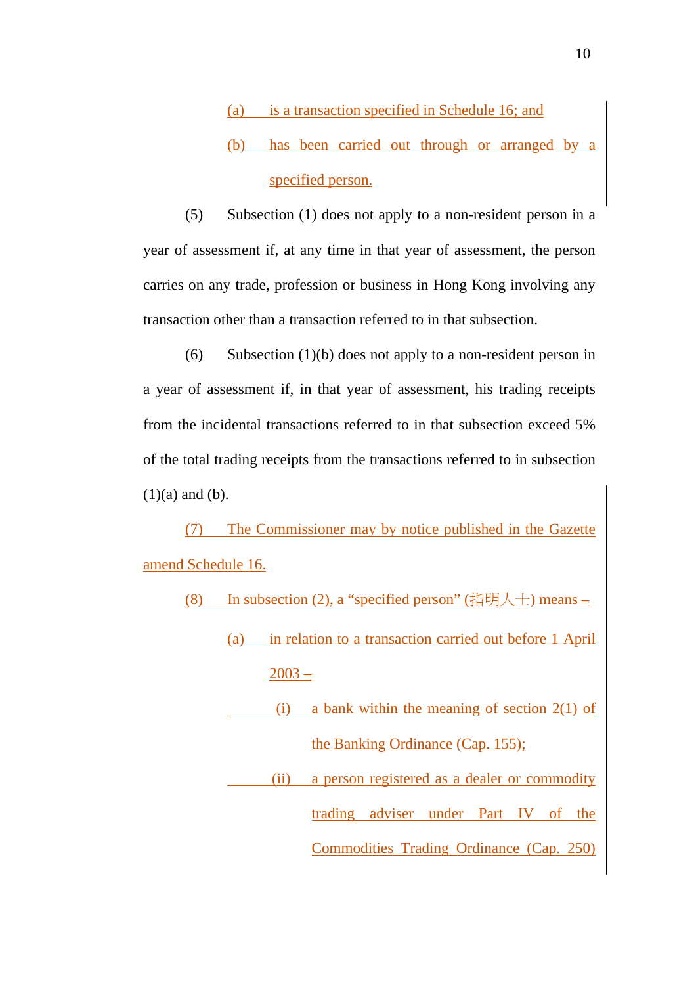(a) is a transaction specified in Schedule 16; and (b) has been carried out through or arranged by a specified person.

(5) Subsection (1) does not apply to a non-resident person in a year of assessment if, at any time in that year of assessment, the person carries on any trade, profession or business in Hong Kong involving any transaction other than a transaction referred to in that subsection.

(6) Subsection (1)(b) does not apply to a non-resident person in a year of assessment if, in that year of assessment, his trading receipts from the incidental transactions referred to in that subsection exceed 5% of the total trading receipts from the transactions referred to in subsection  $(1)(a)$  and  $(b)$ .

(7) The Commissioner may by notice published in the Gazette amend Schedule 16.

| In subsection (2), a "specified person" (指明人士) means – | (8) |  |  |  |  |
|--------------------------------------------------------|-----|--|--|--|--|
|--------------------------------------------------------|-----|--|--|--|--|

(a) in relation to a transaction carried out before 1 April 2003 –

(i) a bank within the meaning of section  $2(1)$  of the Banking Ordinance (Cap. 155);

 (ii) a person registered as a dealer or commodity trading adviser under Part IV of the Commodities Trading Ordinance (Cap. 250)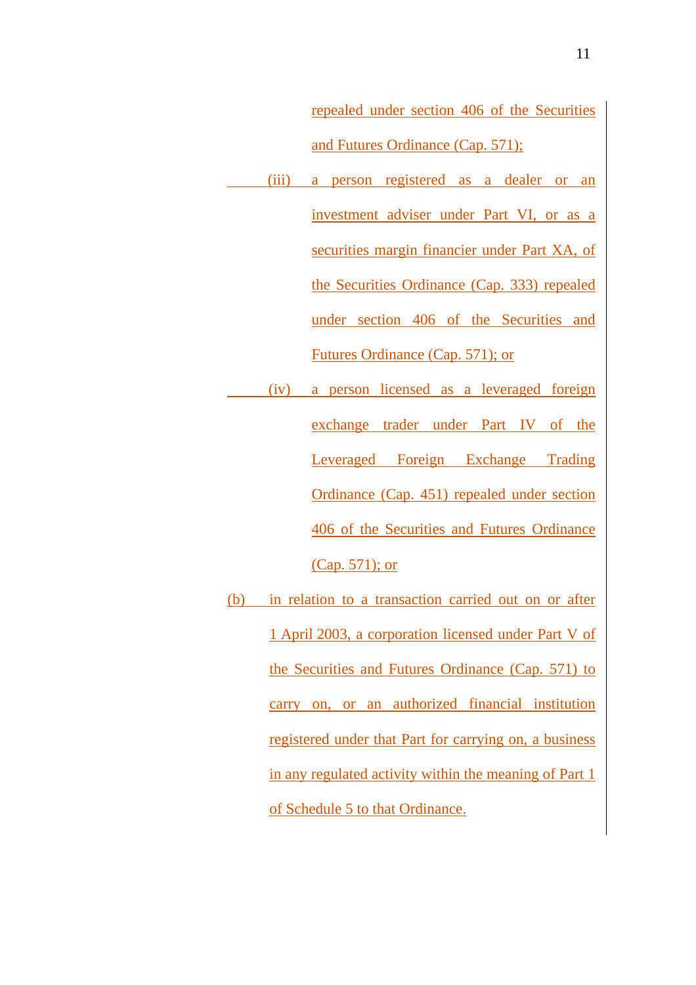repealed under section 406 of the Securities and Futures Ordinance (Cap. 571);

- (iii) a person registered as a dealer or an investment adviser under Part VI, or as a securities margin financier under Part XA, of the Securities Ordinance (Cap. 333) repealed under section 406 of the Securities and Futures Ordinance (Cap. 571); or
- (iv) a person licensed as a leveraged foreign exchange trader under Part IV of the Leveraged Foreign Exchange Trading Ordinance (Cap. 451) repealed under section 406 of the Securities and Futures Ordinance (Cap. 571); or
- (b) in relation to a transaction carried out on or after 1 April 2003, a corporation licensed under Part V of the Securities and Futures Ordinance (Cap. 571) to carry on, or an authorized financial institution registered under that Part for carrying on, a business in any regulated activity within the meaning of Part 1 of Schedule 5 to that Ordinance.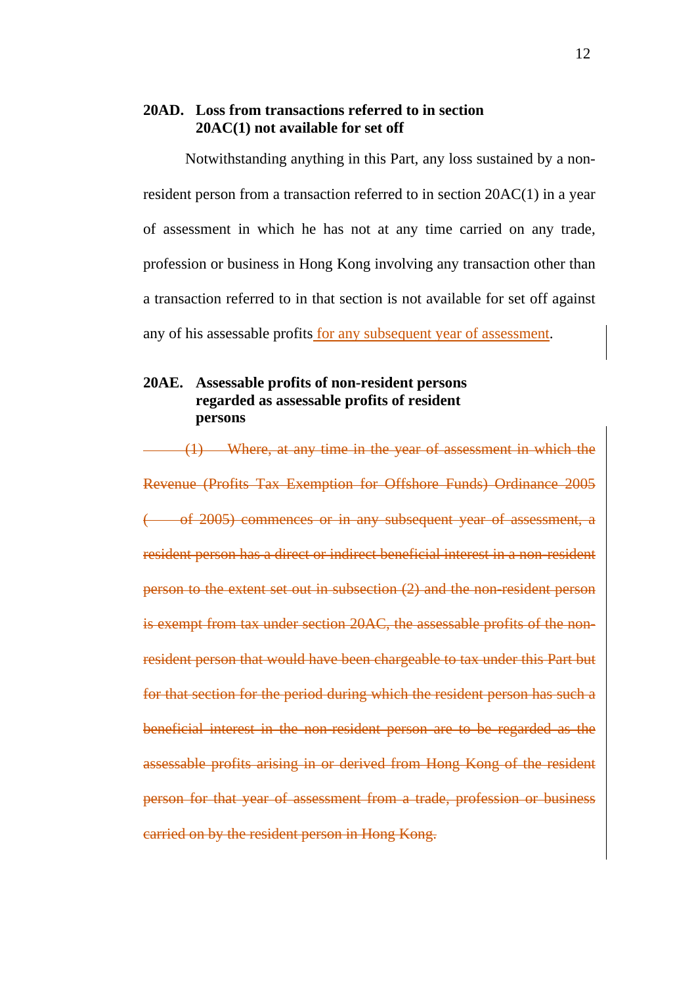#### **20AD. Loss from transactions referred to in section 20AC(1) not available for set off**

Notwithstanding anything in this Part, any loss sustained by a nonresident person from a transaction referred to in section 20AC(1) in a year of assessment in which he has not at any time carried on any trade, profession or business in Hong Kong involving any transaction other than a transaction referred to in that section is not available for set off against any of his assessable profits for any subsequent year of assessment.

# **20AE. Assessable profits of non-resident persons regarded as assessable profits of resident persons**

(1) Where, at any time in the year of assessment in which the Revenue (Profits Tax Exemption for Offshore Funds) Ordinance 2005 ( of 2005) commences or in any subsequent year of assessment, a resident person has a direct or indirect beneficial interest in a non-resident person to the extent set out in subsection (2) and the non-resident person is exempt from tax under section 20AC, the assessable profits of the nonresident person that would have been chargeable to tax under this Part but for that section for the period during which the resident person has such a beneficial interest in the non-resident person are to be regarded as the assessable profits arising in or derived from Hong Kong of the resident person for that year of assessment from a trade, profession or business carried on by the resident person in Hong Kong.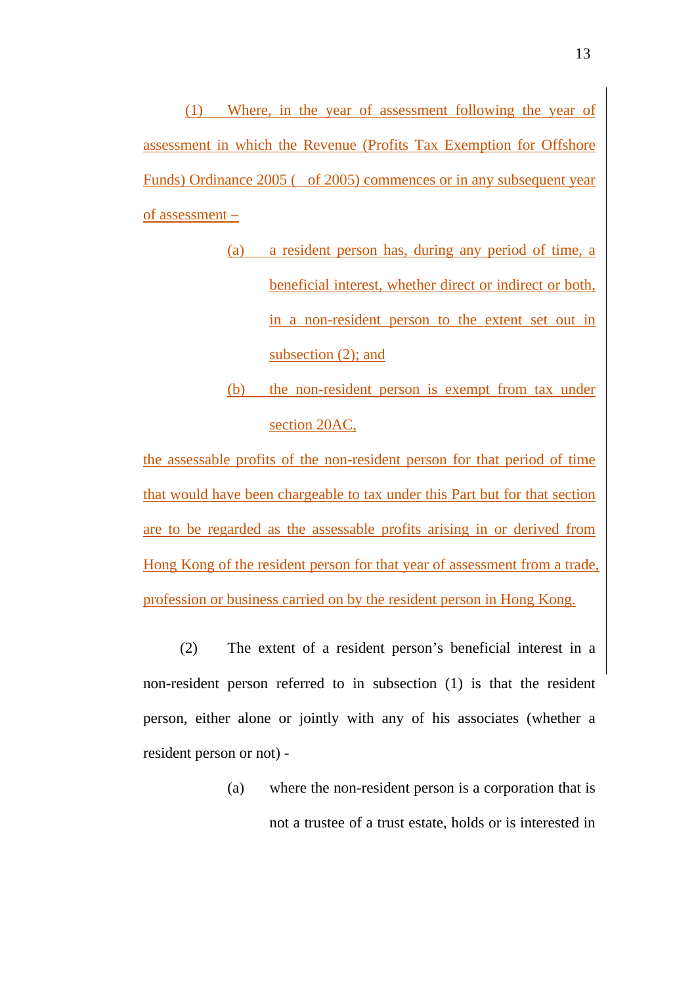(1) Where, in the year of assessment following the year of assessment in which the Revenue (Profits Tax Exemption for Offshore Funds) Ordinance 2005 ( of 2005) commences or in any subsequent year of assessment –

- (a) a resident person has, during any period of time, a beneficial interest, whether direct or indirect or both, in a non-resident person to the extent set out in subsection (2); and
- (b) the non-resident person is exempt from tax under section 20AC,

the assessable profits of the non-resident person for that period of time that would have been chargeable to tax under this Part but for that section are to be regarded as the assessable profits arising in or derived from Hong Kong of the resident person for that year of assessment from a trade, profession or business carried on by the resident person in Hong Kong.

(2) The extent of a resident person's beneficial interest in a non-resident person referred to in subsection (1) is that the resident person, either alone or jointly with any of his associates (whether a resident person or not) -

> (a) where the non-resident person is a corporation that is not a trustee of a trust estate, holds or is interested in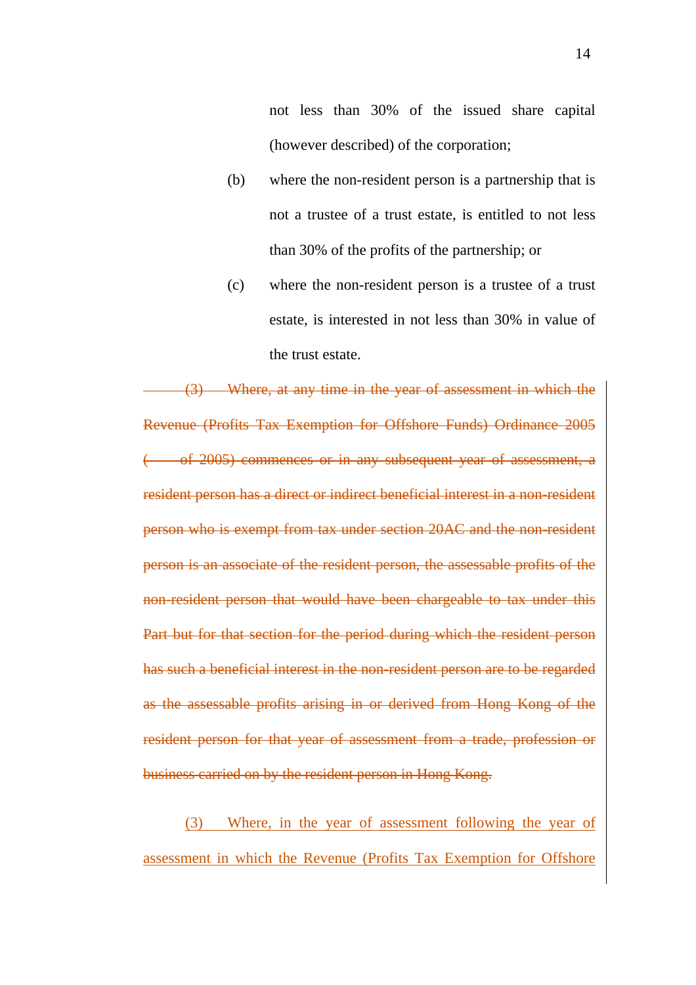not less than 30% of the issued share capital (however described) of the corporation;

- (b) where the non-resident person is a partnership that is not a trustee of a trust estate, is entitled to not less than 30% of the profits of the partnership; or
- (c) where the non-resident person is a trustee of a trust estate, is interested in not less than 30% in value of the trust estate.

(3) Where, at any time in the year of assessment in which the Revenue (Profits Tax Exemption for Offshore Funds) Ordinance 2005 of 2005) commences or in any subsequent year of assessment, a resident person has a direct or indirect beneficial interest in a non-resident person who is exempt from tax under section 20AC and the non-resident person is an associate of the resident person, the assessable profits of the non-resident person that would have been chargeable to tax under this Part but for that section for the period during which the resident person has such a beneficial interest in the non-resident person are to be regarded as the assessable profits arising in or derived from Hong Kong of the resident person for that year of assessment from a trade, profession or business carried on by the resident person in Hong Kong.

(3) Where, in the year of assessment following the year of assessment in which the Revenue (Profits Tax Exemption for Offshore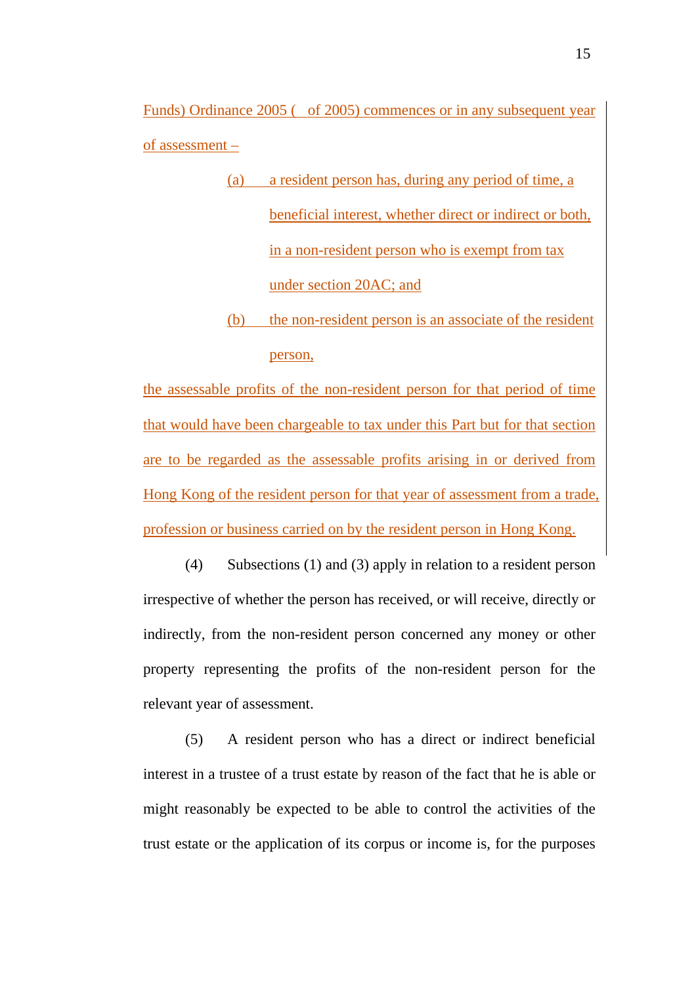Funds) Ordinance 2005 ( of 2005) commences or in any subsequent year of assessment –

- (a) a resident person has, during any period of time, a beneficial interest, whether direct or indirect or both, in a non-resident person who is exempt from tax under section 20AC; and
- (b) the non-resident person is an associate of the resident person,

the assessable profits of the non-resident person for that period of time that would have been chargeable to tax under this Part but for that section are to be regarded as the assessable profits arising in or derived from Hong Kong of the resident person for that year of assessment from a trade, profession or business carried on by the resident person in Hong Kong.

(4) Subsections (1) and (3) apply in relation to a resident person irrespective of whether the person has received, or will receive, directly or indirectly, from the non-resident person concerned any money or other property representing the profits of the non-resident person for the relevant year of assessment.

(5) A resident person who has a direct or indirect beneficial interest in a trustee of a trust estate by reason of the fact that he is able or might reasonably be expected to be able to control the activities of the trust estate or the application of its corpus or income is, for the purposes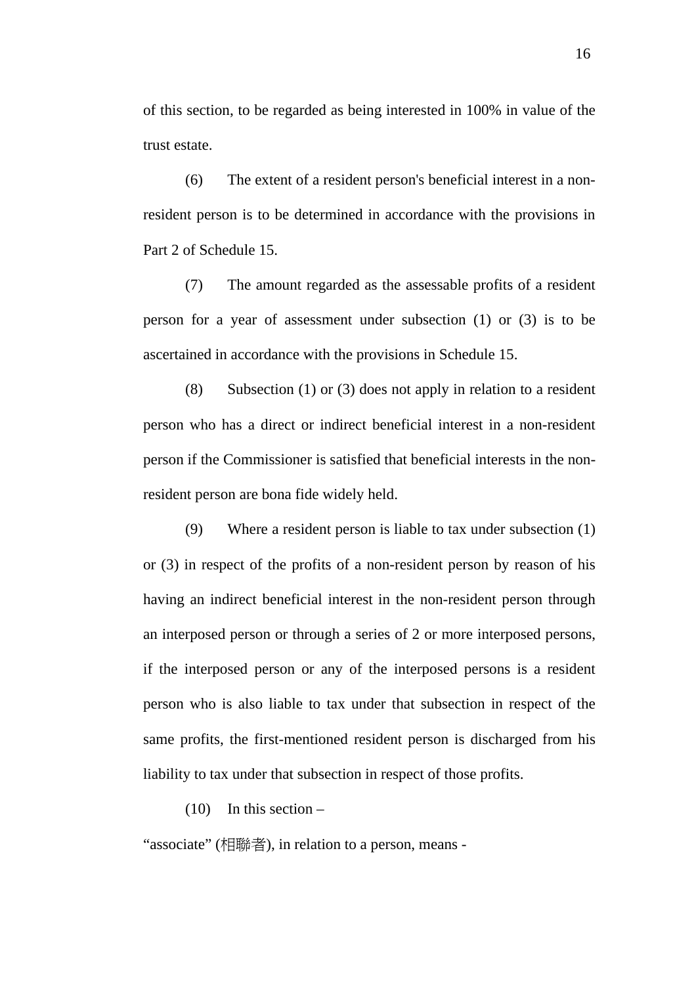of this section, to be regarded as being interested in 100% in value of the trust estate.

(6) The extent of a resident person's beneficial interest in a nonresident person is to be determined in accordance with the provisions in Part 2 of Schedule 15.

(7) The amount regarded as the assessable profits of a resident person for a year of assessment under subsection (1) or (3) is to be ascertained in accordance with the provisions in Schedule 15.

(8) Subsection (1) or (3) does not apply in relation to a resident person who has a direct or indirect beneficial interest in a non-resident person if the Commissioner is satisfied that beneficial interests in the nonresident person are bona fide widely held.

(9) Where a resident person is liable to tax under subsection (1) or (3) in respect of the profits of a non-resident person by reason of his having an indirect beneficial interest in the non-resident person through an interposed person or through a series of 2 or more interposed persons, if the interposed person or any of the interposed persons is a resident person who is also liable to tax under that subsection in respect of the same profits, the first-mentioned resident person is discharged from his liability to tax under that subsection in respect of those profits.

 $(10)$  In this section –

"associate" (相聯者), in relation to a person, means -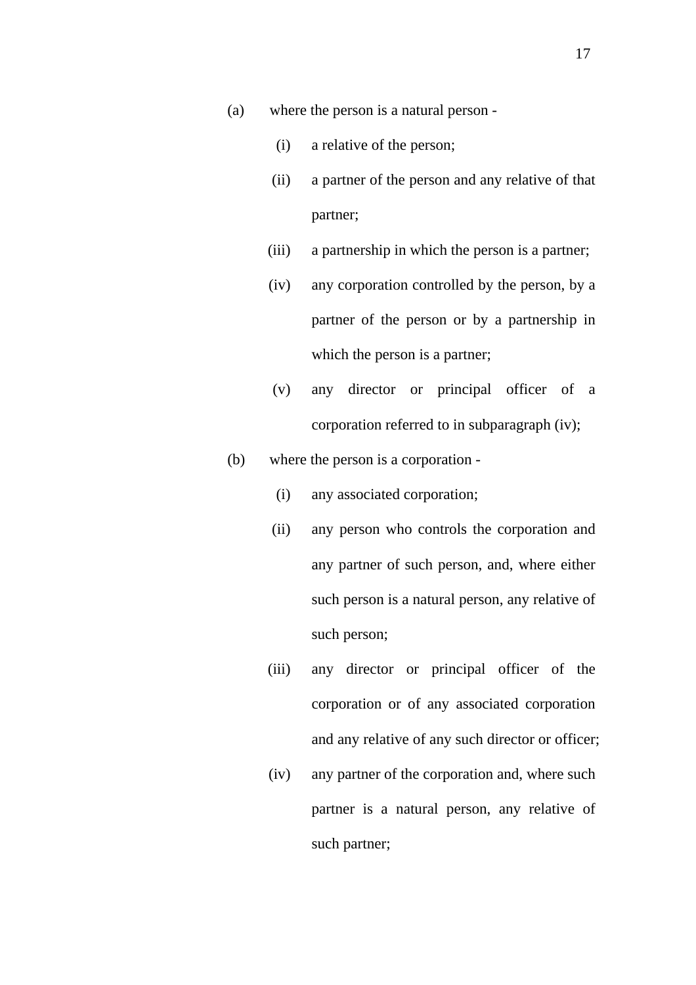- (a) where the person is a natural person
	- (i) a relative of the person;
	- (ii) a partner of the person and any relative of that partner;
	- (iii) a partnership in which the person is a partner;
	- (iv) any corporation controlled by the person, by a partner of the person or by a partnership in which the person is a partner;
	- (v) any director or principal officer of a corporation referred to in subparagraph (iv);
- (b) where the person is a corporation
	- (i) any associated corporation;
	- (ii) any person who controls the corporation and any partner of such person, and, where either such person is a natural person, any relative of such person;
	- (iii) any director or principal officer of the corporation or of any associated corporation and any relative of any such director or officer;
	- (iv) any partner of the corporation and, where such partner is a natural person, any relative of such partner;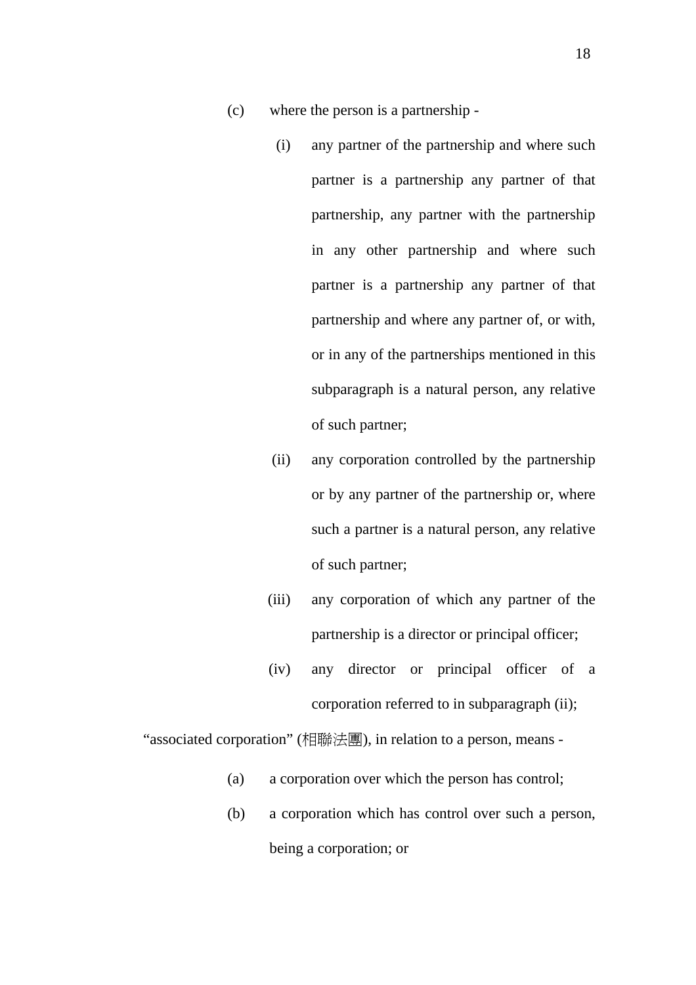- (c) where the person is a partnership
	- (i) any partner of the partnership and where such partner is a partnership any partner of that partnership, any partner with the partnership in any other partnership and where such partner is a partnership any partner of that partnership and where any partner of, or with, or in any of the partnerships mentioned in this subparagraph is a natural person, any relative of such partner;
	- (ii) any corporation controlled by the partnership or by any partner of the partnership or, where such a partner is a natural person, any relative of such partner;
	- (iii) any corporation of which any partner of the partnership is a director or principal officer;
	- (iv) any director or principal officer of a corporation referred to in subparagraph (ii);

"associated corporation" (相聯法團), in relation to a person, means -

- (a) a corporation over which the person has control;
- (b) a corporation which has control over such a person, being a corporation; or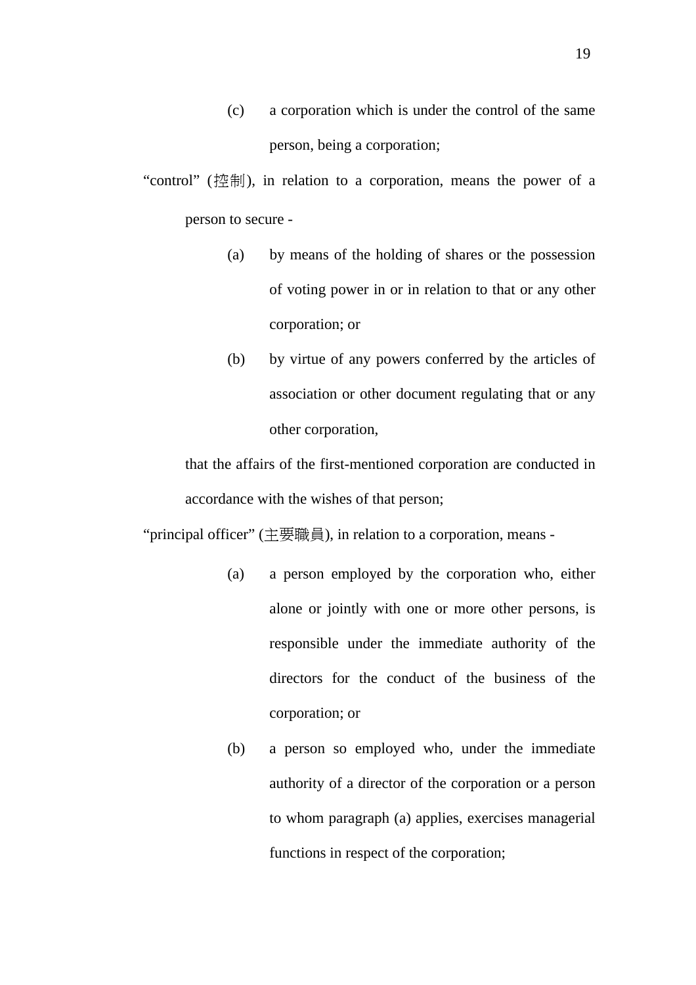(c) a corporation which is under the control of the same person, being a corporation;

"control" (控制), in relation to a corporation, means the power of a person to secure -

- (a) by means of the holding of shares or the possession of voting power in or in relation to that or any other corporation; or
- (b) by virtue of any powers conferred by the articles of association or other document regulating that or any other corporation,

that the affairs of the first-mentioned corporation are conducted in accordance with the wishes of that person;

"principal officer" (主要職員), in relation to a corporation, means -

- (a) a person employed by the corporation who, either alone or jointly with one or more other persons, is responsible under the immediate authority of the directors for the conduct of the business of the corporation; or
- (b) a person so employed who, under the immediate authority of a director of the corporation or a person to whom paragraph (a) applies, exercises managerial functions in respect of the corporation;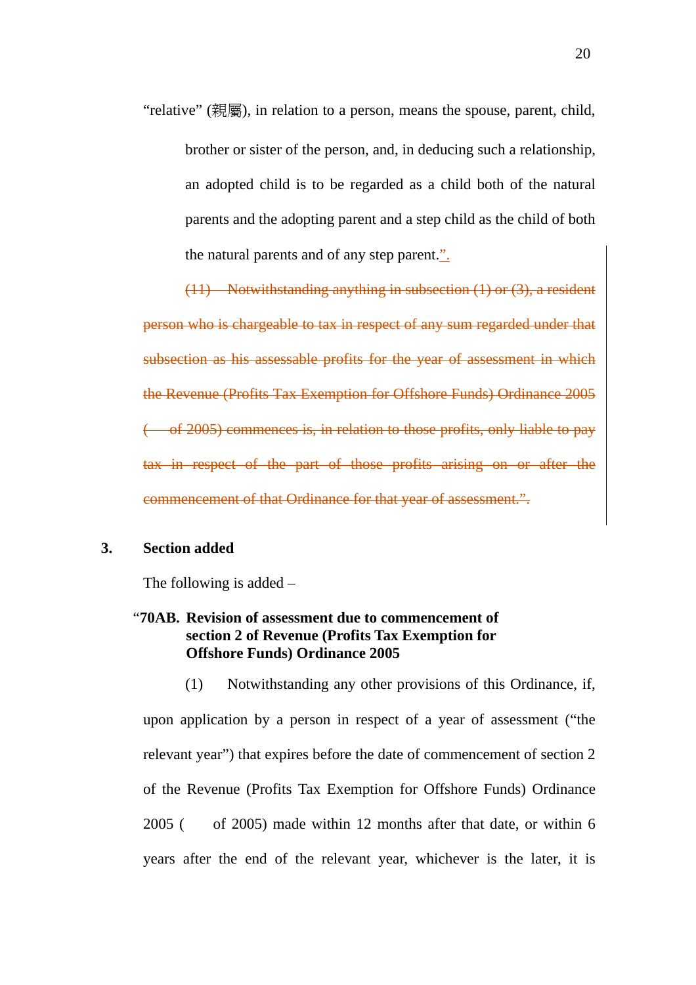"relative" (親屬), in relation to a person, means the spouse, parent, child, brother or sister of the person, and, in deducing such a relationship, an adopted child is to be regarded as a child both of the natural parents and the adopting parent and a step child as the child of both the natural parents and of any step parent.".

(11) Notwithstanding anything in subsection (1) or (3), a resident person who is chargeable to tax in respect of any sum regarded under that subsection as his assessable profits for the year of assessment in which the Revenue (Profits Tax Exemption for Offshore Funds) Ordinance 2005 ( of 2005) commences is, in relation to those profits, only liable to pay tax in respect of the part of those profits arising on or after the commencement of that Ordinance for that year of assessment.".

## **3. Section added**

The following is added –

# "**70AB. Revision of assessment due to commencement of section 2 of Revenue (Profits Tax Exemption for Offshore Funds) Ordinance 2005**

(1) Notwithstanding any other provisions of this Ordinance, if, upon application by a person in respect of a year of assessment ("the relevant year") that expires before the date of commencement of section 2 of the Revenue (Profits Tax Exemption for Offshore Funds) Ordinance 2005 ( of 2005) made within 12 months after that date, or within 6 years after the end of the relevant year, whichever is the later, it is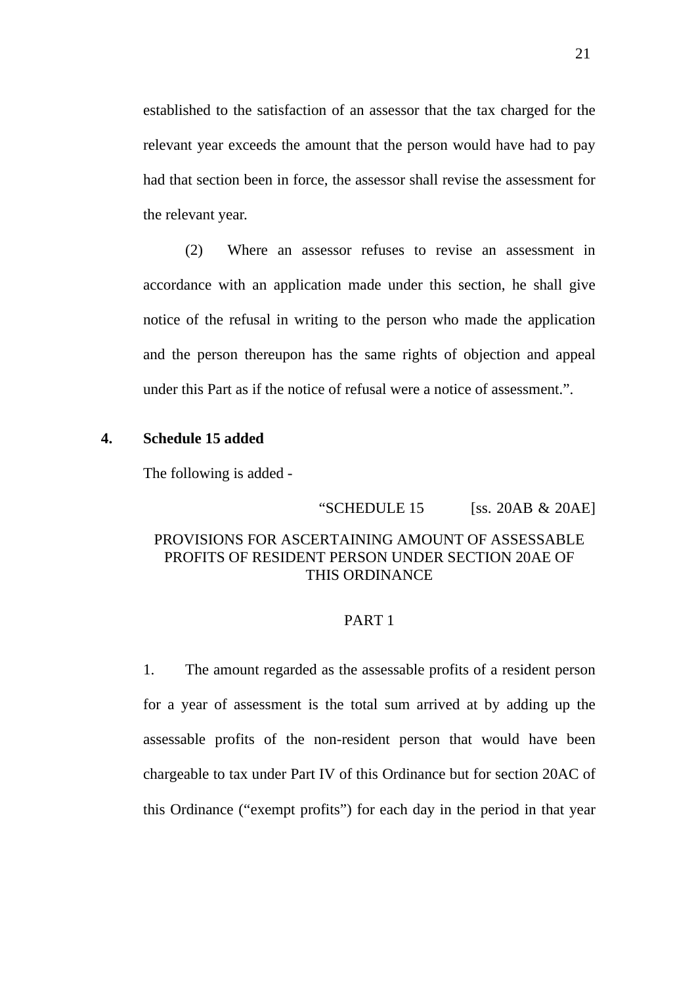established to the satisfaction of an assessor that the tax charged for the relevant year exceeds the amount that the person would have had to pay had that section been in force, the assessor shall revise the assessment for the relevant year.

(2) Where an assessor refuses to revise an assessment in accordance with an application made under this section, he shall give notice of the refusal in writing to the person who made the application and the person thereupon has the same rights of objection and appeal under this Part as if the notice of refusal were a notice of assessment.".

## **4. Schedule 15 added**

The following is added -

"SCHEDULE  $15$  [ss. 20AB & 20AE]

# PROVISIONS FOR ASCERTAINING AMOUNT OF ASSESSABLE PROFITS OF RESIDENT PERSON UNDER SECTION 20AE OF THIS ORDINANCE

#### PART 1

1. The amount regarded as the assessable profits of a resident person for a year of assessment is the total sum arrived at by adding up the assessable profits of the non-resident person that would have been chargeable to tax under Part IV of this Ordinance but for section 20AC of this Ordinance ("exempt profits") for each day in the period in that year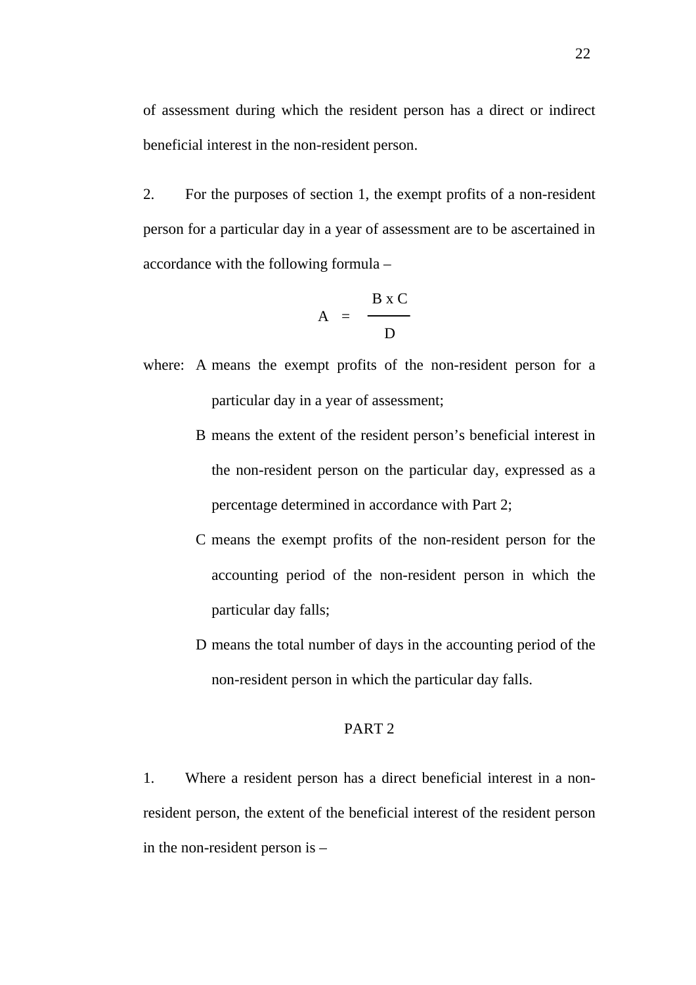of assessment during which the resident person has a direct or indirect beneficial interest in the non-resident person.

2. For the purposes of section 1, the exempt profits of a non-resident person for a particular day in a year of assessment are to be ascertained in accordance with the following formula –

$$
A = \frac{B \times C}{D}
$$

where: A means the exempt profits of the non-resident person for a particular day in a year of assessment;

- B means the extent of the resident person's beneficial interest in the non-resident person on the particular day, expressed as a percentage determined in accordance with Part 2;
- C means the exempt profits of the non-resident person for the accounting period of the non-resident person in which the particular day falls;
- D means the total number of days in the accounting period of the non-resident person in which the particular day falls.

## PART 2

1. Where a resident person has a direct beneficial interest in a nonresident person, the extent of the beneficial interest of the resident person in the non-resident person is –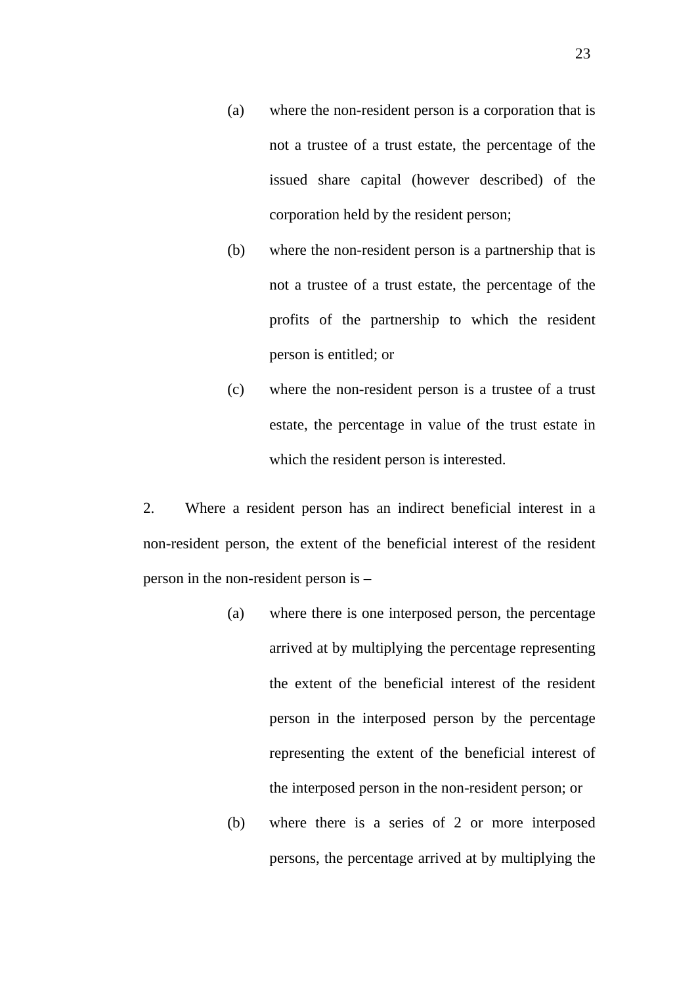- (a) where the non-resident person is a corporation that is not a trustee of a trust estate, the percentage of the issued share capital (however described) of the corporation held by the resident person;
- (b) where the non-resident person is a partnership that is not a trustee of a trust estate, the percentage of the profits of the partnership to which the resident person is entitled; or
- (c) where the non-resident person is a trustee of a trust estate, the percentage in value of the trust estate in which the resident person is interested.

2. Where a resident person has an indirect beneficial interest in a non-resident person, the extent of the beneficial interest of the resident person in the non-resident person is –

- (a) where there is one interposed person, the percentage arrived at by multiplying the percentage representing the extent of the beneficial interest of the resident person in the interposed person by the percentage representing the extent of the beneficial interest of the interposed person in the non-resident person; or
- (b) where there is a series of 2 or more interposed persons, the percentage arrived at by multiplying the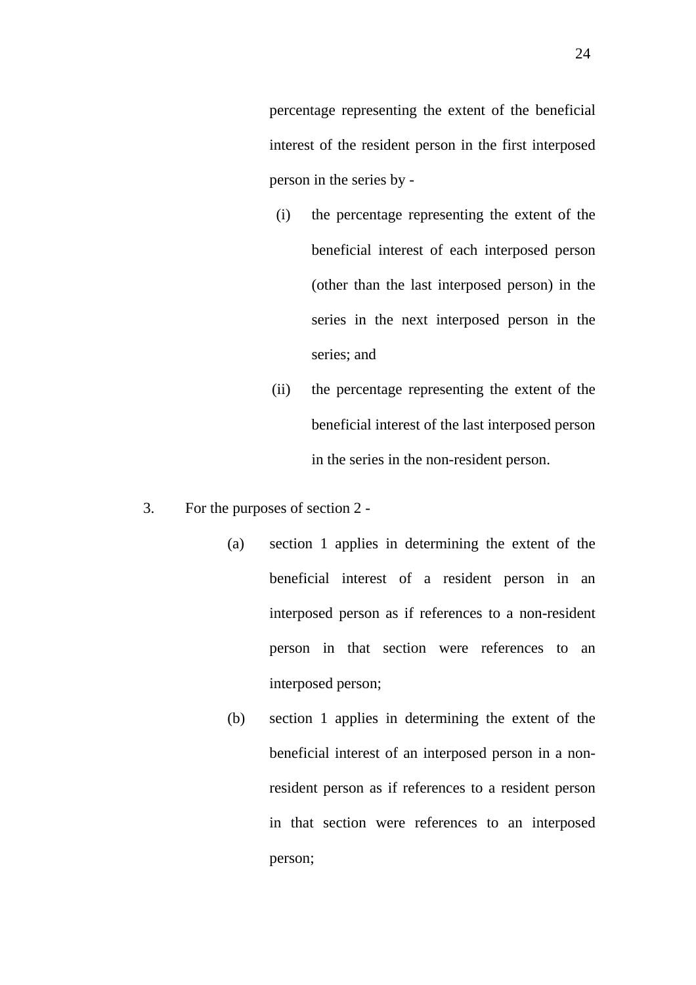percentage representing the extent of the beneficial interest of the resident person in the first interposed person in the series by -

- (i) the percentage representing the extent of the beneficial interest of each interposed person (other than the last interposed person) in the series in the next interposed person in the series; and
- (ii) the percentage representing the extent of the beneficial interest of the last interposed person in the series in the non-resident person.
- 3. For the purposes of section 2
	- (a) section 1 applies in determining the extent of the beneficial interest of a resident person in an interposed person as if references to a non-resident person in that section were references to an interposed person;
	- (b) section 1 applies in determining the extent of the beneficial interest of an interposed person in a nonresident person as if references to a resident person in that section were references to an interposed person;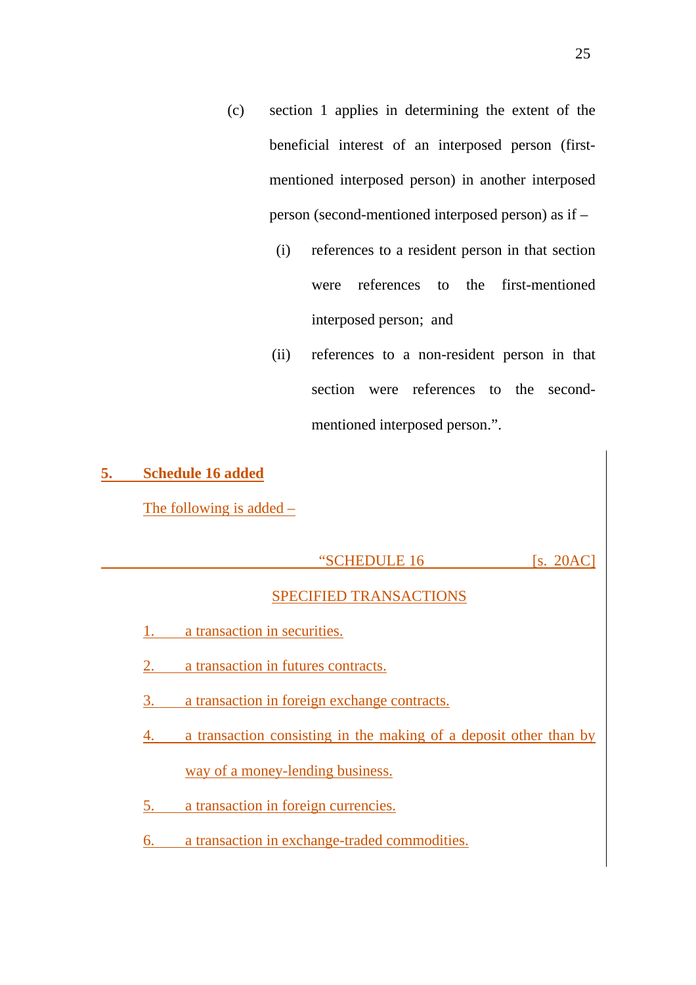- (c) section 1 applies in determining the extent of the beneficial interest of an interposed person (firstmentioned interposed person) in another interposed person (second-mentioned interposed person) as if –
	- (i) references to a resident person in that section were references to the first-mentioned interposed person; and
	- (ii) references to a non-resident person in that section were references to the secondmentioned interposed person.".

#### **5. Schedule 16 added**

The following is added –

#### "SCHEDULE 16 [s. 20AC]

## SPECIFIED TRANSACTIONS

- 1. a transaction in securities.
- 2. a transaction in futures contracts.
- 3. a transaction in foreign exchange contracts.
- 4. a transaction consisting in the making of a deposit other than by way of a money-lending business.
- 5. a transaction in foreign currencies.
- 6. a transaction in exchange-traded commodities.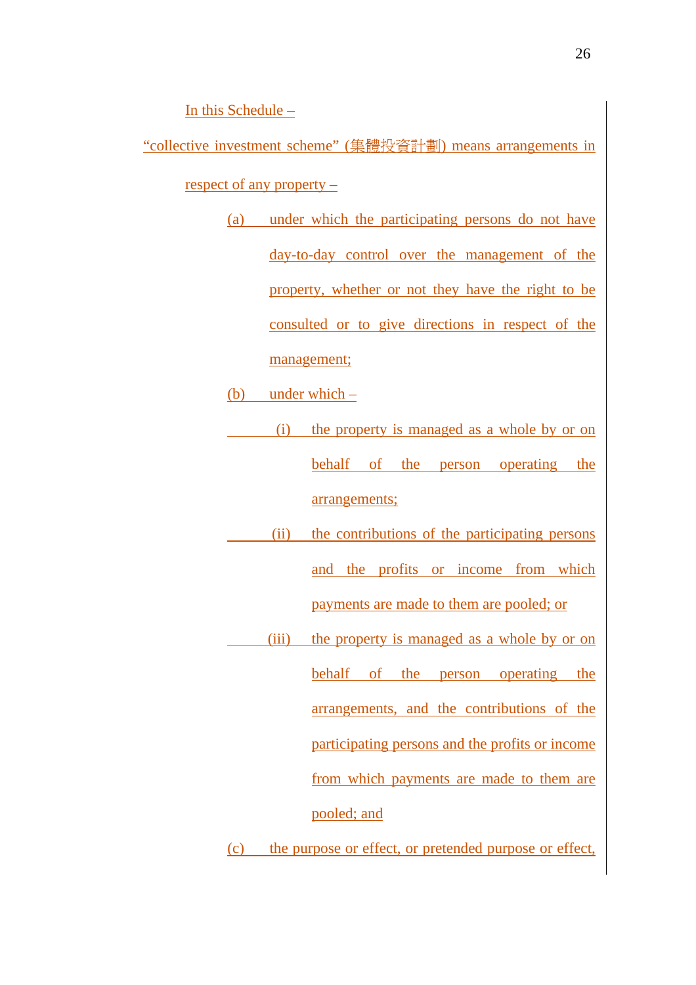In this Schedule –

"collective investment scheme" (集體投資計劃) means arrangements in respect of any property –

- (a) under which the participating persons do not have day-to-day control over the management of the property, whether or not they have the right to be consulted or to give directions in respect of the management;
- (b) under which
	- (i) the property is managed as a whole by or on behalf of the person operating the arrangements;
- (ii) the contributions of the participating persons and the profits or income from which payments are made to them are pooled; or
- (iii) the property is managed as a whole by or on

behalf of the person operating the

arrangements, and the contributions of the

participating persons and the profits or income

from which payments are made to them are

pooled; and

(c) the purpose or effect, or pretended purpose or effect,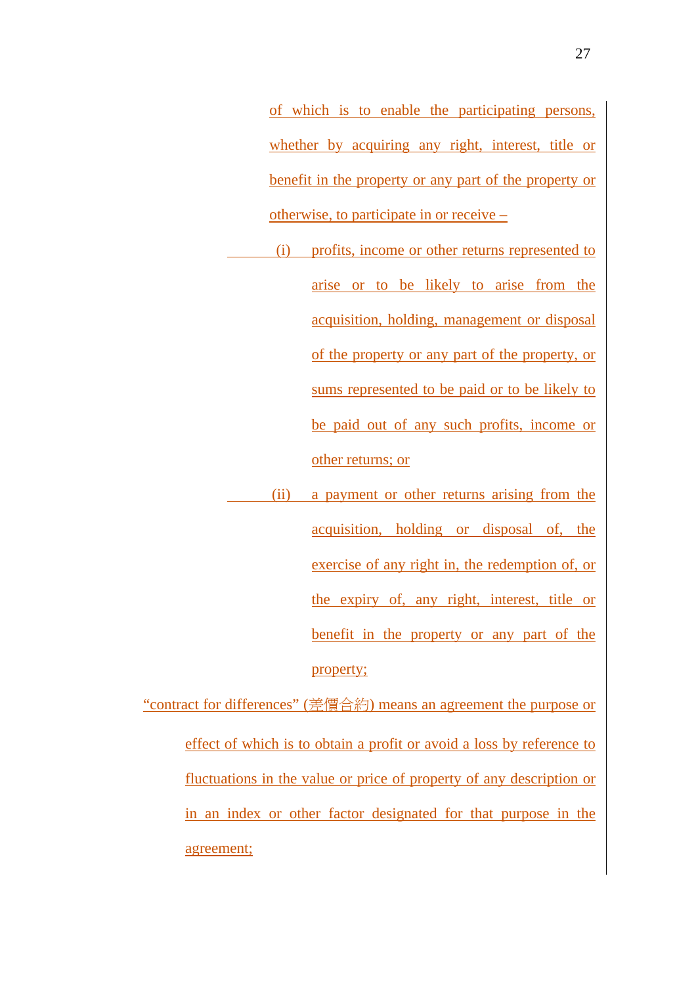of which is to enable the participating persons, whether by acquiring any right, interest, title or benefit in the property or any part of the property or otherwise, to participate in or receive –

- (i) profits, income or other returns represented to arise or to be likely to arise from the acquisition, holding, management or disposal of the property or any part of the property, or sums represented to be paid or to be likely to be paid out of any such profits, income or other returns; or
- (ii) a payment or other returns arising from the acquisition, holding or disposal of, the exercise of any right in, the redemption of, or the expiry of, any right, interest, title or benefit in the property or any part of the property;

"contract for differences" (差價合約) means an agreement the purpose or effect of which is to obtain a profit or avoid a loss by reference to fluctuations in the value or price of property of any description or in an index or other factor designated for that purpose in the agreement;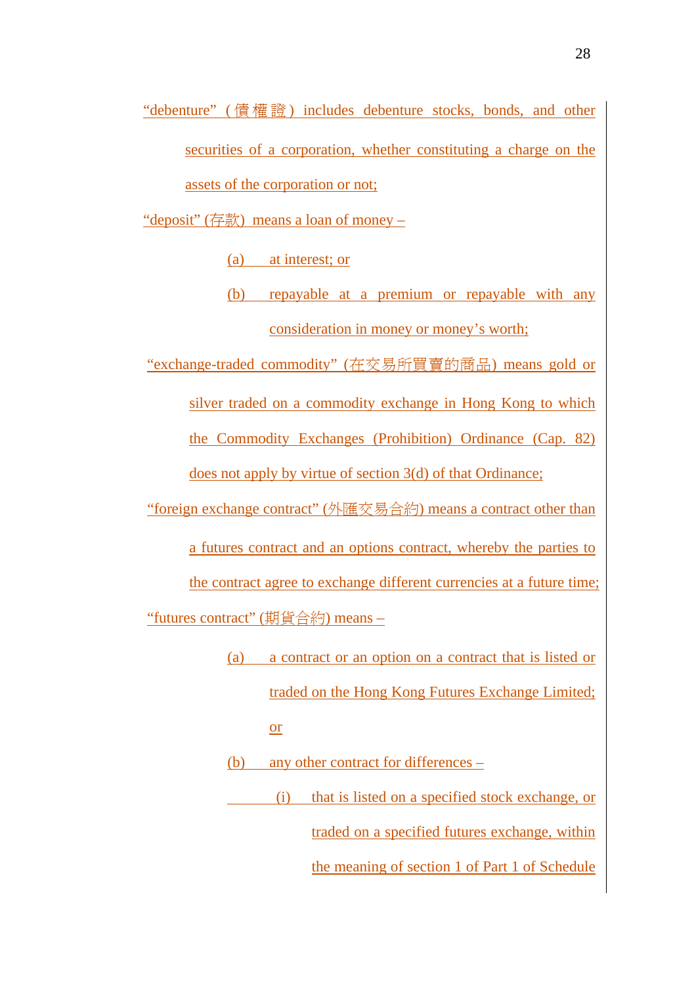"debenture" ( 債權證 ) includes debenture stocks, bonds, and other securities of a corporation, whether constituting a charge on the assets of the corporation or not;

"deposit" (存款) means a loan of money –

(a) at interest; or

(b) repayable at a premium or repayable with any consideration in money or money's worth;

"exchange-traded commodity" (在交易所買賣的商品) means gold or

silver traded on a commodity exchange in Hong Kong to which

the Commodity Exchanges (Prohibition) Ordinance (Cap. 82)

does not apply by virtue of section 3(d) of that Ordinance;

"foreign exchange contract" (外匯交易合約) means a contract other than

a futures contract and an options contract, whereby the parties to

the contract agree to exchange different currencies at a future time;

"futures contract" (期貨合約) means –

(a) a contract or an option on a contract that is listed or traded on the Hong Kong Futures Exchange Limited; or

(b) any other contract for differences –

 (i) that is listed on a specified stock exchange, or traded on a specified futures exchange, within

the meaning of section 1 of Part 1 of Schedule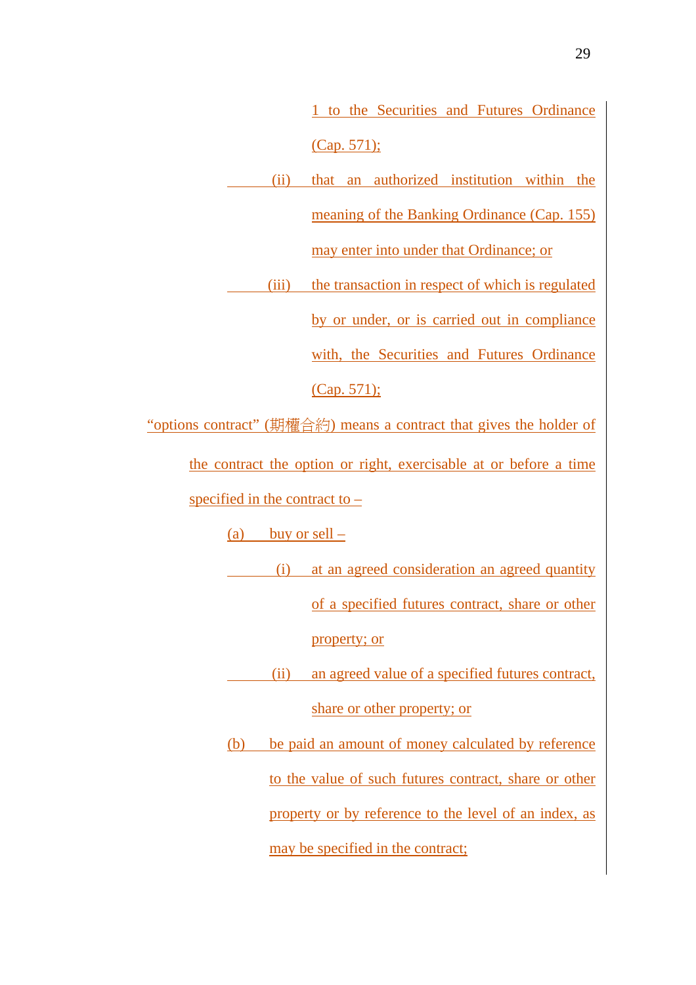1 to the Securities and Futures Ordinance (Cap. 571);

 (ii) that an authorized institution within the meaning of the Banking Ordinance (Cap. 155)

may enter into under that Ordinance; or

(iii) the transaction in respect of which is regulated

by or under, or is carried out in compliance

with, the Securities and Futures Ordinance

(Cap. 571);

"options contract" (期權合約) means a contract that gives the holder of

the contract the option or right, exercisable at or before a time specified in the contract to –

(a) buy or sell  $-$ 

 (i) at an agreed consideration an agreed quantity of a specified futures contract, share or other property; or

 (ii) an agreed value of a specified futures contract, share or other property; or

(b) be paid an amount of money calculated by reference to the value of such futures contract, share or other property or by reference to the level of an index, as may be specified in the contract;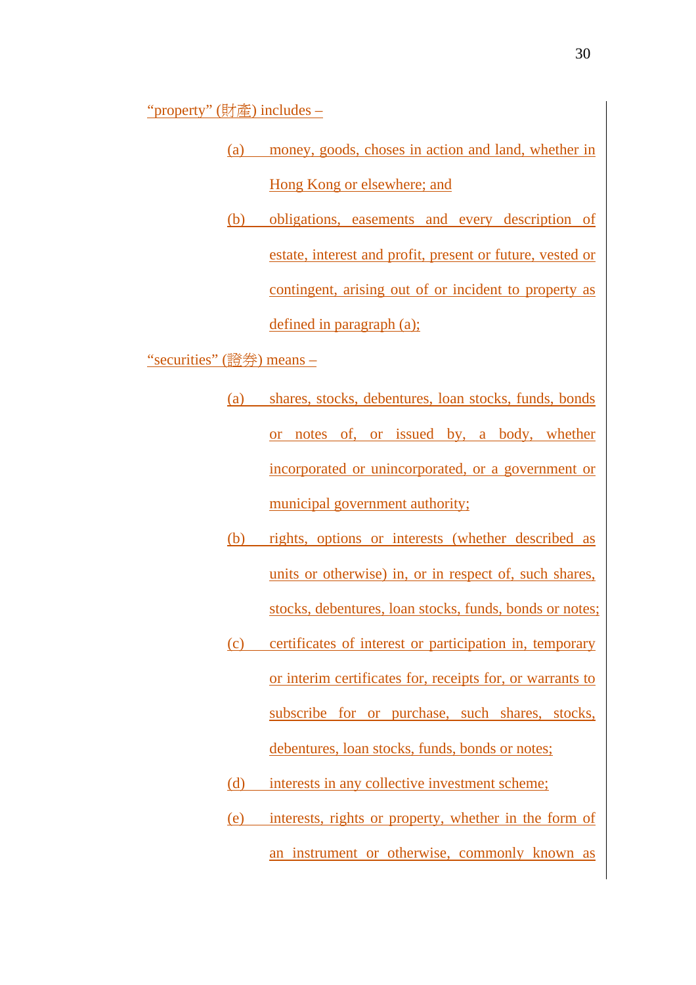"property" (財產) includes –

- (a) money, goods, choses in action and land, whether in Hong Kong or elsewhere; and
- (b) obligations, easements and every description of estate, interest and profit, present or future, vested or contingent, arising out of or incident to property as defined in paragraph (a);

"securities" (證券) means –

- (a) shares, stocks, debentures, loan stocks, funds, bonds or notes of, or issued by, a body, whether incorporated or unincorporated, or a government or municipal government authority;
- (b) rights, options or interests (whether described as units or otherwise) in, or in respect of, such shares, stocks, debentures, loan stocks, funds, bonds or notes;
- (c) certificates of interest or participation in, temporary or interim certificates for, receipts for, or warrants to subscribe for or purchase, such shares, stocks, debentures, loan stocks, funds, bonds or notes;
- (d) interests in any collective investment scheme;
- (e) interests, rights or property, whether in the form of an instrument or otherwise, commonly known as